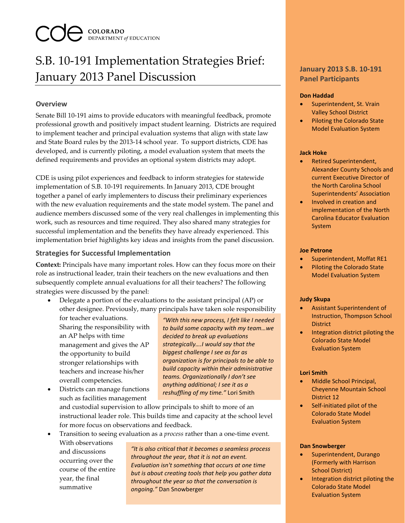# **COLORADO**<br>**DEPARTMENT of EDUCATION**

## S.B. 10-191 Implementation Strategies Brief: January 2013 Panel Discussion

### **Overview**

Senate Bill 10-191 aims to provide educators with meaningful feedback, promote professional growth and positively impact student learning. Districts are required to implement teacher and principal evaluation systems that align with state law and State Board rules by the 2013-14 school year. To support districts, CDE has developed, and is currently piloting, a model evaluation system that meets the defined requirements and provides an optional system districts may adopt.

CDE is using pilot experiences and feedback to inform strategies for statewide implementation of S.B. 10-191 requirements. In January 2013, CDE brought together a panel of early implementers to discuss their preliminary experiences with the new evaluation requirements and the state model system. The panel and audience members discussed some of the very real challenges in implementing this work, such as resources and time required. They also shared many strategies for successful implementation and the benefits they have already experienced. This implementation brief highlights key ideas and insights from the panel discussion.

#### **Strategies for Successful Implementation**

**Context:** Principals have many important roles. How can they focus more on their role as instructional leader, train their teachers on the new evaluations and then subsequently complete annual evaluations for all their teachers? The following strategies were discussed by the panel:

• Delegate a portion of the evaluations to the assistant principal (AP) or other designee. Previously, many principals have taken sole responsibility

for teacher evaluations. Sharing the responsibility with an AP helps with time management and gives the AP the opportunity to build stronger relationships with teachers and increase his/her overall competencies.

• Districts can manage functions such as facilities management

*"With this new process, I felt like I needed to build some capacity with my team…we decided to break up evaluations strategically….I would say that the biggest challenge I see as far as organization is for principals to be able to build capacity within their administrative teams. Organizationally I don't see anything additional; I see it as a reshuffling of my time."* Lori Smith

and custodial supervision to allow principals to shift to more of an instructional leader role. This builds time and capacity at the school level for more focus on observations and feedback.

• Transition to seeing evaluation as a *process* rather than a one-time event. With observations

and discussions occurring over the course of the entire year, the final summative

*"It is also critical that it becomes a seamless process throughout the year, that it is not an event. Evaluation isn't something that occurs at one time but is about creating tools that help you gather data throughout the year so that the conversation is ongoing."* Dan Snowberger

#### **January 2013 S.B. 10-191 Panel Participants**

#### **Don Haddad**

- Superintendent, St. Vrain Valley School District
- Piloting the Colorado State Model Evaluation System

#### **Jack Hoke**

- Retired Superintendent, Alexander County Schools and current Executive Director of the North Carolina School Superintendents' Association
- Involved in creation and implementation of the North Carolina Educator Evaluation System

#### **Joe Petrone**

- Superintendent, Moffat RE1
- Piloting the Colorado State Model Evaluation System

#### **Judy Skupa**

- Assistant Superintendent of Instruction, Thompson School District
- Integration district piloting the Colorado State Model Evaluation System

#### **Lori Smith**

- Middle School Principal, Cheyenne Mountain School District 12
- Self-initiated pilot of the Colorado State Model Evaluation System

#### **Dan Snowberger**

- Superintendent, Durango (Formerly with Harrison School District)
- Integration district piloting the Colorado State Model Evaluation System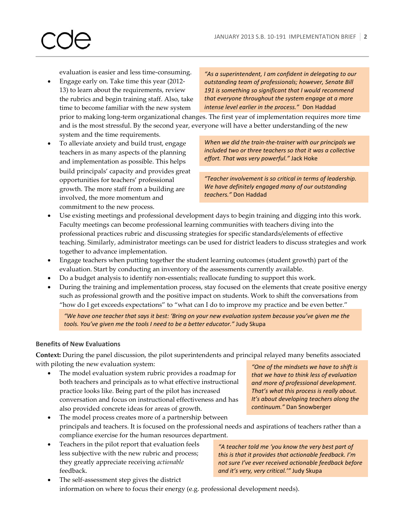evaluation is easier and less time-consuming.

• Engage early on. Take time this year (2012- 13) to learn about the requirements, review the rubrics and begin training staff. Also, take time to become familiar with the new system

*"As a superintendent, I am confident in delegating to our outstanding team of professionals; however, Senate Bill 191 is something so significant that I would recommend that everyone throughout the system engage at a more intense level earlier in the process."* Don Haddad

prior to making long-term organizational changes. The first year of implementation requires more time and is the most stressful. By the second year, everyone will have a better understanding of the new system and the time requirements.

• To alleviate anxiety and build trust, engage teachers in as many aspects of the planning and implementation as possible. This helps build principals' capacity and provides great opportunities for teachers' professional growth. The more staff from a building are involved, the more momentum and commitment to the new process.

*When we did the train-the-trainer with our principals we included two or three teachers so that it was a collective effort. That was very powerful."* Jack Hoke

*"Teacher involvement is so critical in terms of leadership. We have definitely engaged many of our outstanding teachers."* Don Haddad

- Use existing meetings and professional development days to begin training and digging into this work. Faculty meetings can become professional learning communities with teachers diving into the professional practices rubric and discussing strategies for specific standards/elements of effective teaching. Similarly, administrator meetings can be used for district leaders to discuss strategies and work together to advance implementation.
- Engage teachers when putting together the student learning outcomes (student growth) part of the evaluation. Start by conducting an inventory of the assessments currently available.
- Do a budget analysis to identify non-essentials; reallocate funding to support this work.
- During the training and implementation process, stay focused on the elements that create positive energy such as professional growth and the positive impact on students. Work to shift the conversations from "how do I get exceeds expectations" to "what can I do to improve my practice and be even better."

*"We have one teacher that says it best: 'Bring on your new evaluation system because you've given me the tools. You've given me the tools I need to be a better educator."* Judy Skupa

#### **Benefits of New Evaluations**

**Context:** During the panel discussion, the pilot superintendents and principal relayed many benefits associated with piloting the new evaluation system:

The model evaluation system rubric provides a roadmap for both teachers and principals as to what effective instructional practice looks like. Being part of the pilot has increased conversation and focus on instructional effectiveness and has also provided concrete ideas for areas of growth.

*"One of the mindsets we have to shift is that we have to think less of evaluation and more of professional development. That's what this process is really about. It's about developing teachers along the continuum."* Dan Snowberger

- The model process creates more of a partnership between principals and teachers. It is focused on the professional needs and aspirations of teachers rather than a compliance exercise for the human resources department.
- Teachers in the pilot report that evaluation feels less subjective with the new rubric and process; they greatly appreciate receiving *actionable* feedback.

*"A teacher told me 'you know the very best part of this is that it provides that actionable feedback. I'm not sure I've ever received actionable feedback before and it's very, very critical.'"* Judy Skupa

The self-assessment step gives the district information on where to focus their energy (e.g. professional development needs).